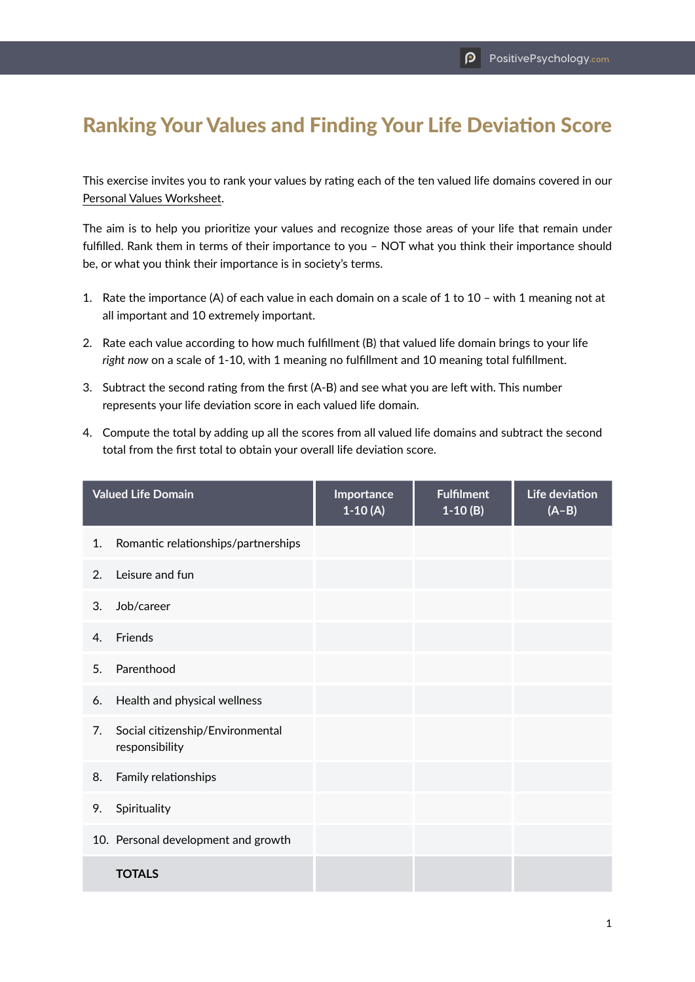## Ranking Your Values and Finding Your Life Deviation Score

This exercise invites you to rank your values by rating each of the ten valued life domains covered in our [Personal Values Worksheet.](https://positivepsychology.com/wp-content/uploads/2020/11/Personal-Values-Worksheet.pdf)

The aim is to help you prioritize your values and recognize those areas of your life that remain under fulfilled. Rank them in terms of their importance to you – NOT what you think their importance should be, or what you think their importance is in society's terms.

- 1. Rate the importance (A) of each value in each domain on a scale of 1 to 10 with 1 meaning not at all important and 10 extremely important.
- 2. Rate each value according to how much fulfillment (B) that valued life domain brings to your life *right now* on a scale of 1-10, with 1 meaning no fulfillment and 10 meaning total fulfillment.
- 3. Subtract the second rating from the first (A-B) and see what you are left with. This number represents your life deviation score in each valued life domain.
- 4. Compute the total by adding up all the scores from all valued life domains and subtract the second total from the first total to obtain your overall life deviation score.

| <b>Valued Life Domain</b> |                                                    | Importance<br>$1-10(A)$ | <b>Fulfilment</b><br>$1-10(B)$ | Life deviation<br>$(A-B)$ |
|---------------------------|----------------------------------------------------|-------------------------|--------------------------------|---------------------------|
| 1.                        | Romantic relationships/partnerships                |                         |                                |                           |
| 2.                        | Leisure and fun                                    |                         |                                |                           |
| 3.                        | Job/career                                         |                         |                                |                           |
| 4.                        | Friends                                            |                         |                                |                           |
| 5.                        | Parenthood                                         |                         |                                |                           |
| 6.                        | Health and physical wellness                       |                         |                                |                           |
| 7.                        | Social citizenship/Environmental<br>responsibility |                         |                                |                           |
| 8.                        | Family relationships                               |                         |                                |                           |
| 9.                        | Spirituality                                       |                         |                                |                           |
|                           | 10. Personal development and growth                |                         |                                |                           |
|                           | <b>TOTALS</b>                                      |                         |                                |                           |